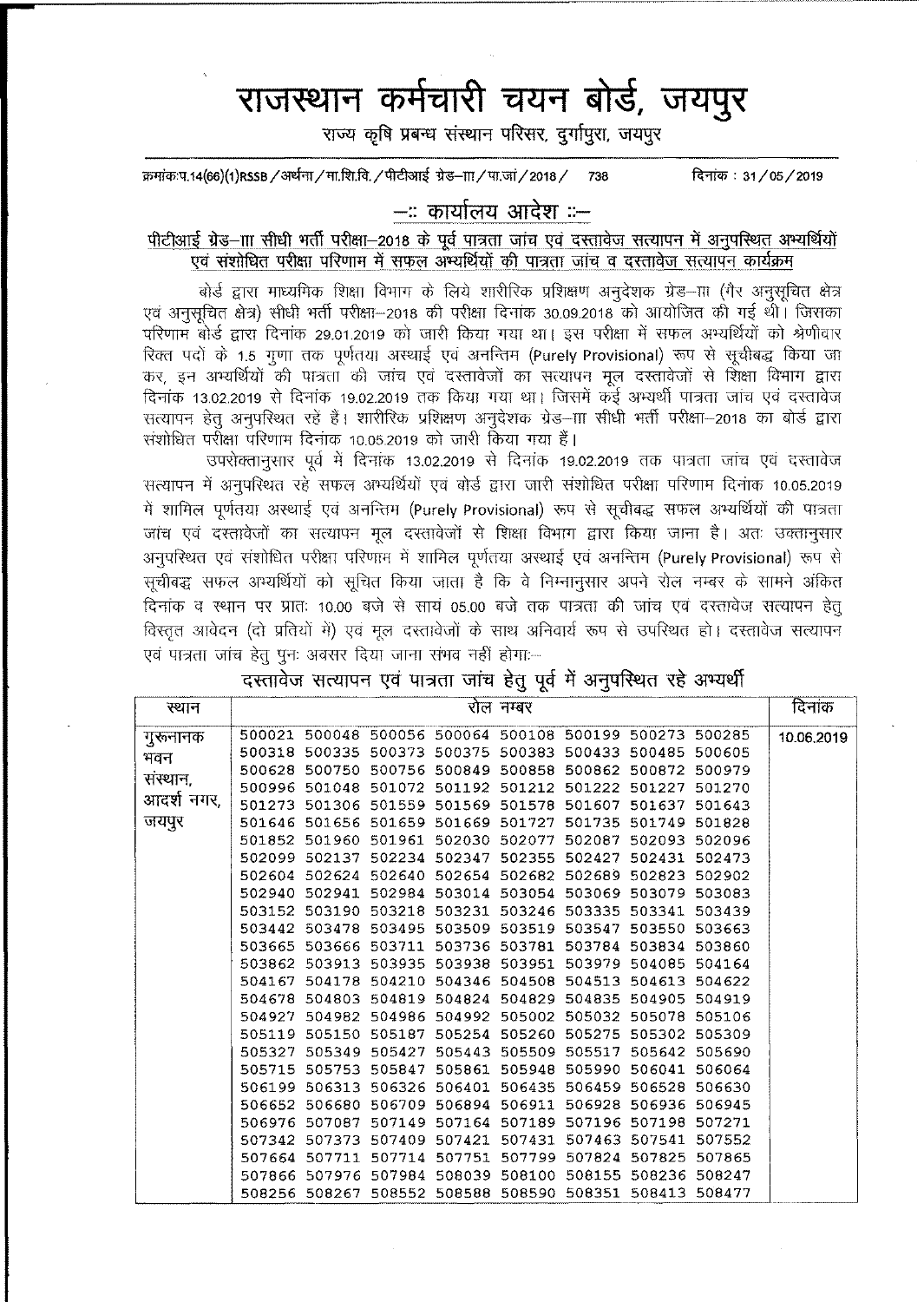# राजस्थान कर्मचारी चयन बोर्ड, जय<u>पु</u>र

राज्य कृषि प्रबन्ध संस्थान परिसर, दर्गापुरा, जयपुर

क्रमांक:प.14(66)(1)RSSB / अर्थना / मा.शि.वि. / पीटीआई ग्रेड–ग़ा / पा.जां / 2018 / 738 ~: 31/05/2019

## **-:: ct>11Il<:'111 ~ ::-**

#### पीटीआई ग्रेड-ााा सीधी भर्ती परीक्षा-2018 के पूर्व पात्रता जांच एवं दस्तावेज सत्यापन में अनुपस्थित अभ्यर्थियों ~ ~ 1Nr1ffi~ -sf~ ~ ~ "(j"]?["ffi "\Jftq q G«1I~\JI \*1fllI4'1 ¢14wli

बोर्ड द्वारा माध्यमिक शिक्षा विभाग के लिये शारीरिक प्रशिक्षण अनुदेशक ग्रेड—III (गैर अनुसूचित क्षेत्र एवं अनुसूचित क्षेत्र) सीधी भर्ती पुरीक्षा—2018 की पुरीक्षा दिनांक 30.09.2018 को आयोजित की गई थी। जिसका <u>परिणाम बोर्ड द्वारा दिनांक 29.01.2019 को जारी किया गया था। इस परीक्षा में सफल अभ्यर्थियों को श्रेणीवार</u> रिक्त पदों के 1.5 गुणा तक पूर्णतया अस्थाई एवं अनन्तिम (Purely Provisional) रूप से सूचीबद्ध किया जा कर, इन अभ्यर्थियों की पात्रता की जांच एवं दस्तावेजों का सत्यापन मूल दस्तावेजों से शिक्षा विभाग द्वारा दिनांक 13.02.2019 से दिनांक 19.02.2019 तक किया गया था। जिसमें कई अभ्यर्थी पात्रता जांच एवं दस्तावेज सत्यापन हेत अनपरिथत रहें हैं। शारीरिक प्रशिक्षण अनुदेशक ग्रेड—ााा सीधी भर्ती परीक्षा—2018 का बोर्ड द्वारा संशोधित परीक्षा परिणाम दिनांक 10.05.2019 को जारी किया गया हैं।

उपरोक्तानुसार पूर्व में दिनांक 13.02.2019 से दिनांक 19.02.2019 तक पात्रता जांच एवं दस्तावेज xiflllq"l -.{ 31jC1ft-QT(l ~ ~ 3~ ~ *-mt ~ ~ ~* cRTan ~ f01'rcp 10.05.2019 में शामिल पूर्णतया अस्थाई एवं अनन्तिम (Purely Provisional) रूप से सूचीबद्ध सफल अभ्यर्थियों की पात्रता जांच एवं दस्तावेजों का सत्यापन मूल दस्तावेजों से शिक्षा विभाग द्वारा किया जाना है। अतः उक्तानूसार अनुपरिथत एवं संशोधित परीक्षा परिणाम में शामिल पूर्णतया अस्थाई एवं अनन्तिम (Purely Provisional) रूप से सूचीबद्ध सफल अभ्यर्थियों को सूचित किया जाता है कि वे निम्नानुसार अपने रोल नम्बर के सामने अंकित दिनांक व स्थान पर प्रातः 10.00 बजे से सायं 05.00 बजे तक पात्रता की जांच एवं दस्तावेज सत्यापन हेतू विस्तृत आवेदन (दो प्रतियों में) एवं मूल दस्तावेजों के साथ अनिवार्य रूप से उपस्थित हो। दस्तावेज सत्यापन एवं पात्रता जांच हेतु पुनः अवसर दिया जाना संभव नहीं होगाः--

|  |  |  |  | दस्तावेज सत्यापन एवं पात्रता जांच हेतु पूर्व में अनुपस्थित रहे अभ्यर्थी |  |
|--|--|--|--|-------------------------------------------------------------------------|--|
|  |  |  |  |                                                                         |  |

|            |                                                         |  | ັ-ວ ດ     | ◡ |        |            |
|------------|---------------------------------------------------------|--|-----------|---|--------|------------|
| स्थान      |                                                         |  | रोल नम्बर |   |        | दिनांक     |
| गुरूनानक   | 500021 500048 500056 500064 500108 500199 500273 500285 |  |           |   |        | 10.06.2019 |
| भवन        | 500318 500335 500373 500375 500383 500433 500485 500605 |  |           |   |        |            |
|            | 500628 500750 500756 500849 500858 500862 500872 500979 |  |           |   |        |            |
| संस्थान,   | 500996 501048 501072 501192 501212 501222 501227        |  |           |   | 501270 |            |
| आदर्श नगर, | 501273 501306 501559 501569 501578 501607 501637 501643 |  |           |   |        |            |
| जयपुर      | 501646 501656 501659 501669 501727 501735 501749 501828 |  |           |   |        |            |
|            | 501852 501960 501961 502030 502077 502087 502093        |  |           |   | 502096 |            |
|            | 502099 502137 502234 502347 502355 502427 502431        |  |           |   | 502473 |            |
|            | 502604 502624 502640 502654 502682 502689 502823        |  |           |   | 502902 |            |
|            | 502940 502941 502984 503014 503054 503069 503079 503083 |  |           |   |        |            |
|            | 503152 503190 503218 503231 503246 503335 503341        |  |           |   | 503439 |            |
|            | 503442 503478 503495 503509 503519 503547 503550 503663 |  |           |   |        |            |
|            | 503665 503666 503711 503736 503781 503784 503834 503860 |  |           |   |        |            |
|            | 503862 503913 503935 503938 503951 503979 504085 504164 |  |           |   |        |            |
|            | 504167 504178 504210 504346 504508 504513 504613        |  |           |   | 504622 |            |
|            | 504678 504803 504819 504824 504829 504835 504905 504919 |  |           |   |        |            |
|            | 504927 504982 504986 504992 505002 505032 505078 505106 |  |           |   |        |            |
|            | 505119 505150 505187 505254 505260 505275 505302        |  |           |   | 505309 |            |
|            | 505327 505349 505427 505443 505509 505517 505642        |  |           |   | 505690 |            |
|            | 505715 505753 505847 505861 505948 505990 506041        |  |           |   | 506064 |            |
|            | 506199 506313 506326 506401 506435 506459 506528 506630 |  |           |   |        |            |
|            | 506652 506680 506709 506894 506911 506928 506936        |  |           |   | 506945 |            |
|            | 506976 507087 507149 507164 507189 507196 507198 507271 |  |           |   |        |            |
|            | 507342 507373 507409 507421 507431 507463 507541        |  |           |   | 507552 |            |
|            | 507664 507711 507714 507751 507799 507824 507825 507865 |  |           |   |        |            |
|            | 507866 507976 507984 508039 508100 508155 508236 508247 |  |           |   |        |            |
|            | 508256 508267 508552 508588 508590 508351 508413 508477 |  |           |   |        |            |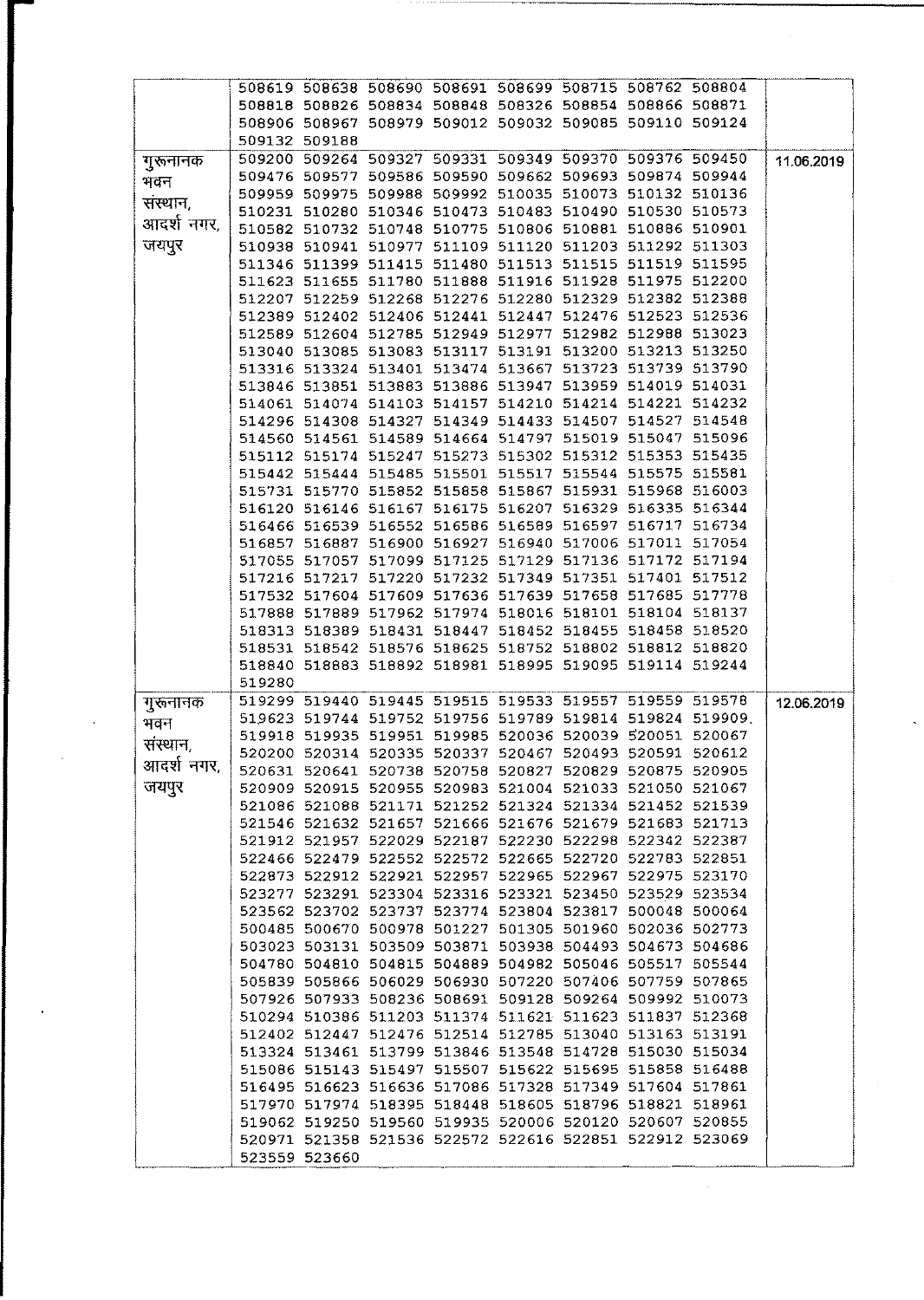|            |        | 508619 508638 508690 508691 508699 508715 508762 508804                  |  |  |                                                          |            |
|------------|--------|--------------------------------------------------------------------------|--|--|----------------------------------------------------------|------------|
|            |        | 508818 508826 508834 508848 508326 508854 508866 508871                  |  |  |                                                          |            |
|            |        | 508906 508967 508979 509012 509032 509085 509110 509124                  |  |  |                                                          |            |
|            |        | 509132 509188                                                            |  |  |                                                          |            |
|            |        | 509200 509264 509327 509331 509349 509370 509376 509450                  |  |  |                                                          |            |
| गुरूनानक   |        |                                                                          |  |  |                                                          | 11.06.2019 |
| भवन        |        | 509476 509577 509586 509590 509662 509693 509874 509944                  |  |  |                                                          |            |
| संस्थान,   |        | 509959 509975 509988 509992 510035 510073 510132 510136                  |  |  |                                                          |            |
|            |        | 510231 510280 510346 510473 510483 510490 510530 510573                  |  |  |                                                          |            |
| आदर्श नगर, |        | 510582 510732 510748 510775 510806 510881 510886 510901                  |  |  |                                                          |            |
| जयपुर      |        | 510938 510941 510977 511109 511120 511203 511292 511303                  |  |  |                                                          |            |
|            |        | 511346 511399 511415 511480 511513 511515 511519 511595                  |  |  |                                                          |            |
|            |        |                                                                          |  |  |                                                          |            |
|            |        | 511623 511655 511780 511888 511916 511928 511975 512200                  |  |  |                                                          |            |
|            |        | 512207 512259 512268 512276 512280 512329 512382 512388                  |  |  |                                                          |            |
|            |        | 512389 512402 512406 512441 512447 512476 512523 512536                  |  |  |                                                          |            |
|            |        | 512589 512604 512785 512949 512977 512982 512988 513023                  |  |  |                                                          |            |
|            |        | 513040 513085 513083 513117 513191 513200 513213 513250                  |  |  |                                                          |            |
|            |        | 513316 513324 513401 513474 513667 513723 513739 513790                  |  |  |                                                          |            |
|            |        | 513846 513851 513883 513886 513947 513959 514019 514031                  |  |  |                                                          |            |
|            |        | 514061 514074 514103 514157 514210 514214 514221 514232                  |  |  |                                                          |            |
|            |        |                                                                          |  |  |                                                          |            |
|            |        | 514296 514308 514327 514349 514433 514507 514527 514548                  |  |  |                                                          |            |
|            |        | 514560 514561 514589 514664 514797 515019 515047 515096                  |  |  |                                                          |            |
|            |        | 515112 515174 515247 515273 515302 515312 515353 515435                  |  |  |                                                          |            |
|            |        | 515442 515444 515485 515501 515517 515544 515575 515581                  |  |  |                                                          |            |
|            |        | 515731 515770 515852 515858 515867 515931 515968 516003                  |  |  |                                                          |            |
|            |        | 516120 516146 516167 516175 516207 516329 516335 516344                  |  |  |                                                          |            |
|            |        | 516466 516539 516552 516586 516589 516597 516717 516734                  |  |  |                                                          |            |
|            |        |                                                                          |  |  |                                                          |            |
|            |        | 516857 516887 516900 516927 516940 517006 517011 517054                  |  |  |                                                          |            |
|            |        | 517055 517057 517099 517125 517129 517136 517172 517194                  |  |  |                                                          |            |
|            |        | 517216 517217 517220 517232 517349 517351 517401 517512                  |  |  |                                                          |            |
|            |        | 517532 517604 517609 517636 517639 517658 517685 517778                  |  |  |                                                          |            |
|            |        | 517888 517889 517962 517974 518016 518101 518104 518137                  |  |  |                                                          |            |
|            |        |                                                                          |  |  |                                                          |            |
|            |        |                                                                          |  |  |                                                          |            |
|            |        | 518313 518389 518431 518447 518452 518455 518458 518520                  |  |  |                                                          |            |
|            |        | 518531 518542 518576 518625 518752 518802 518812 518820                  |  |  |                                                          |            |
|            |        | 518840 518883 518892 518981 518995 519095 519114 519244                  |  |  |                                                          |            |
|            | 519280 |                                                                          |  |  |                                                          |            |
|            |        | 519299 519440 519445 519515 519533 519557 519559 519578                  |  |  |                                                          | 12.06.2019 |
| गुरूनानक   |        |                                                                          |  |  | 519623 519744 519752 519756 519789 519814 519824 519909. |            |
| भवन        |        |                                                                          |  |  |                                                          |            |
| संस्थान,   |        | 519918 519935 519951 519985 520036 520039 520051 520067                  |  |  |                                                          |            |
| आदर्श नगर, |        | 520200 520314 520335 520337 520467 520493 520591 520612                  |  |  |                                                          |            |
|            |        | 520631 520641 520738 520758 520827 520829 520875 520905                  |  |  |                                                          |            |
| जयपुर      |        | 520909 520915 520955 520983 521004 521033 521050 521067                  |  |  |                                                          |            |
|            |        | 521086 521088 521171 521252 521324 521334 521452 521539                  |  |  |                                                          |            |
|            |        | 521546 521632 521657 521666 521676 521679 521683 521713                  |  |  |                                                          |            |
|            |        | 521912 521957 522029 522187 522230 522298 522342 522387                  |  |  |                                                          |            |
|            |        | 522466 522479 522552 522572 522665 522720 522783 522851                  |  |  |                                                          |            |
|            |        |                                                                          |  |  |                                                          |            |
|            |        | 522873 522912 522921 522957 522965 522967 522975 523170                  |  |  |                                                          |            |
|            |        | 523277 523291 523304 523316 523321 523450 523529 523534                  |  |  |                                                          |            |
|            |        | 523562 523702 523737 523774 523804 523817 500048 500064                  |  |  |                                                          |            |
|            |        | 500485 500670 500978 501227 501305 501960 502036 502773                  |  |  |                                                          |            |
|            |        | 503023 503131 503509 503871 503938 504493 504673 504686                  |  |  |                                                          |            |
|            |        | 504780 504810 504815 504889 504982 505046 505517 505544                  |  |  |                                                          |            |
|            |        | 505839 505866 506029 506930 507220 507406 507759 507865                  |  |  |                                                          |            |
|            |        |                                                                          |  |  |                                                          |            |
|            |        | 507926 507933 508236 508691 509128 509264 509992 510073                  |  |  |                                                          |            |
|            |        | 510294 510386 511203 511374 511621 511623 511837 512368                  |  |  |                                                          |            |
|            |        | 512402 512447 512476 512514 512785 513040 513163 513191                  |  |  |                                                          |            |
|            |        | 513324 513461 513799 513846 513548 514728 515030 515034                  |  |  |                                                          |            |
|            |        | 515086 515143 515497 515507 515622 515695 515858 516488                  |  |  |                                                          |            |
|            |        | 516495 516623 516636 517086 517328 517349 517604 517861                  |  |  |                                                          |            |
|            |        | 517970 517974 518395 518448 518605 518796 518821 518961                  |  |  |                                                          |            |
|            |        |                                                                          |  |  |                                                          |            |
|            |        | 519062 519250 519560 519935 520006 520120 520607 520855                  |  |  |                                                          |            |
|            |        | 520971 521358 521536 522572 522616 522851 522912 523069<br>523559 523660 |  |  |                                                          |            |

 $\hat{\mathcal{N}}$ 

 $\label{eq:2.1} \frac{1}{\sqrt{2}}\int_{\mathbb{R}^3}\frac{1}{\sqrt{2}}\left(\frac{1}{\sqrt{2}}\right)^2\frac{1}{\sqrt{2}}\left(\frac{1}{\sqrt{2}}\right)^2\frac{1}{\sqrt{2}}\left(\frac{1}{\sqrt{2}}\right)^2.$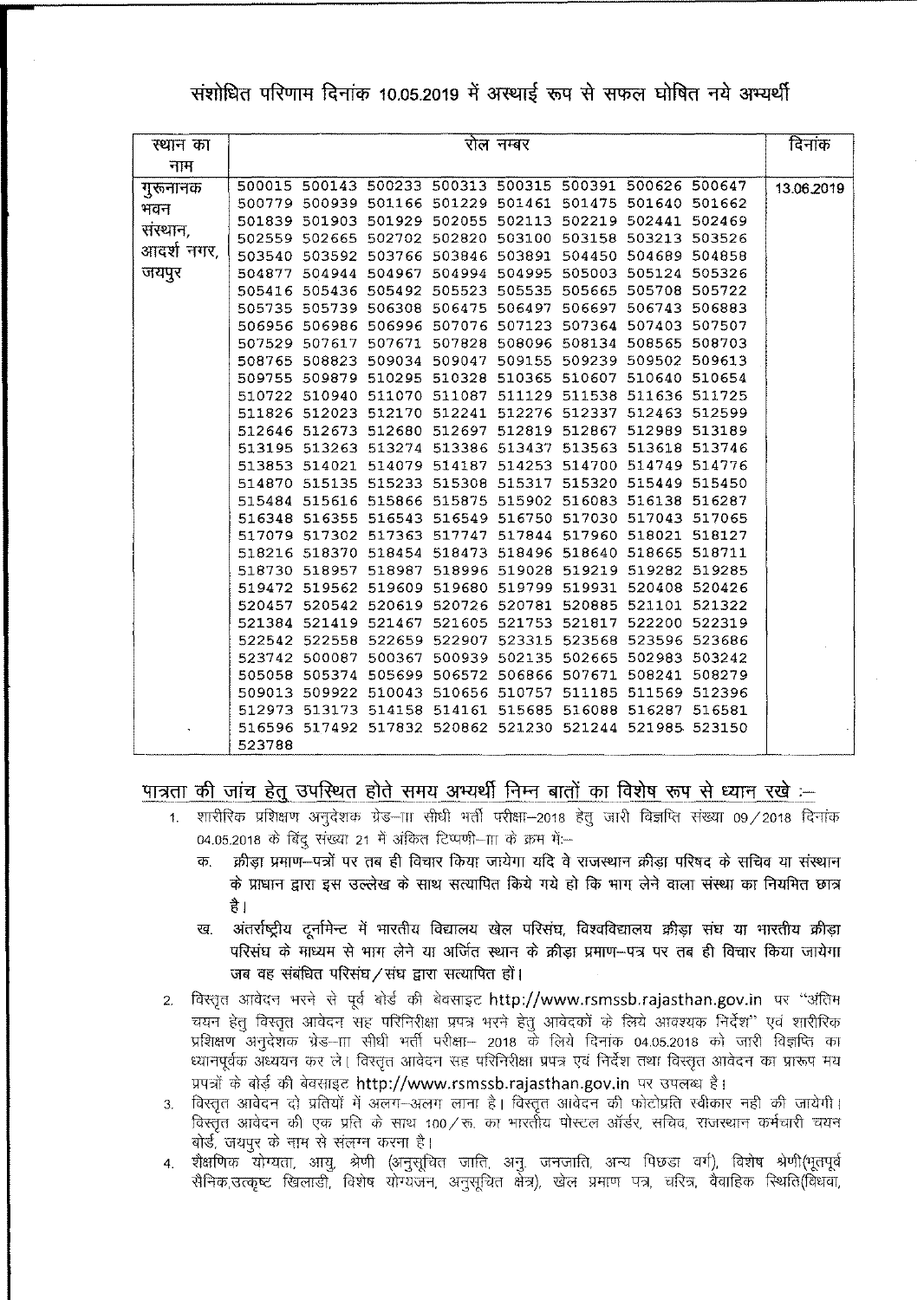संशोधित परिणाम दिनांक 10.05.2019 में अस्थाई रूप से सफल घोषित नये अभ्यर्थी

| स्थान का   |        |                                                         | रोल नम्बर |  | दिनांक     |
|------------|--------|---------------------------------------------------------|-----------|--|------------|
| नाम        |        |                                                         |           |  |            |
| गुरूनानक   |        | 500015 500143 500233 500313 500315 500391 500626 500647 |           |  | 13.06.2019 |
| भवन        |        | 500779 500939 501166 501229 501461 501475 501640 501662 |           |  |            |
| संस्थान,   |        | 501839 501903 501929 502055 502113 502219 502441 502469 |           |  |            |
|            |        | 502559 502665 502702 502820 503100 503158 503213 503526 |           |  |            |
| आदर्श नगर, |        | 503540 503592 503766 503846 503891 504450 504689 504858 |           |  |            |
| जयपुर      |        | 504877 504944 504967 504994 504995 505003 505124 505326 |           |  |            |
|            |        | 505416 505436 505492 505523 505535 505665 505708 505722 |           |  |            |
|            |        | 505735 505739 506308 506475 506497 506697 506743 506883 |           |  |            |
|            |        | 506956 506986 506996 507076 507123 507364 507403 507507 |           |  |            |
|            |        | 507529 507617 507671 507828 508096 508134 508565 508703 |           |  |            |
|            |        | 508765 508823 509034 509047 509155 509239 509502 509613 |           |  |            |
|            |        | 509755 509879 510295 510328 510365 510607 510640 510654 |           |  |            |
|            |        | 510722 510940 511070 511087 511129 511538 511636 511725 |           |  |            |
|            |        | 511826 512023 512170 512241 512276 512337 512463 512599 |           |  |            |
|            |        | 512646 512673 512680 512697 512819 512867 512989 513189 |           |  |            |
|            |        | 513195 513263 513274 513386 513437 513563 513618 513746 |           |  |            |
|            |        | 513853 514021 514079 514187 514253 514700 514749 514776 |           |  |            |
|            |        | 514870 515135 515233 515308 515317 515320 515449 515450 |           |  |            |
|            |        | 515484 515616 515866 515875 515902 516083 516138 516287 |           |  |            |
|            |        | 516348 516355 516543 516549 516750 517030 517043 517065 |           |  |            |
|            |        | 517079 517302 517363 517747 517844 517960 518021 518127 |           |  |            |
|            |        | 518216 518370 518454 518473 518496 518640 518665 518711 |           |  |            |
|            |        | 518730 518957 518987 518996 519028 519219 519282 519285 |           |  |            |
|            |        | 519472 519562 519609 519680 519799 519931 520408 520426 |           |  |            |
|            |        | 520457 520542 520619 520726 520781 520885 521101 521322 |           |  |            |
|            |        | 521384 521419 521467 521605 521753 521817 522200 522319 |           |  |            |
|            |        | 522542 522558 522659 522907 523315 523568 523596 523686 |           |  |            |
|            |        | 523742 500087 500367 500939 502135 502665 502983 503242 |           |  |            |
|            |        | 505058 505374 505699 506572 506866 507671 508241 508279 |           |  |            |
|            |        | 509013 509922 510043 510656 510757 511185 511569 512396 |           |  |            |
|            |        | 512973 513173 514158 514161 515685 516088 516287 516581 |           |  |            |
|            |        | 516596 517492 517832 520862 521230 521244 521985 523150 |           |  |            |
|            | 523788 |                                                         |           |  |            |

### पात्रता की जांच हेतु उपस्थित होते समय अभ्यर्थी निम्न बातों का विशेष रूप से ध्यान रखे :–

- ता <mark>की जांच हेतु उपस्थित होते समय अभ्यर्थी निम्न बातों का विशेष रूप से ध्यान रखे :—</mark><br>1. शारीरिक प्रशिक्षण अनुदेशक ग्रेड—ाा सीधी मर्ती परीक्षा—2018 हेतु जारी विज्ञप्ति संख्या 09/2018 दिनांक<br> 04.05.2018 के बिंदु संख्या 21 में अंकित टिप्पणी-111 के क्रम में:-
	- क. क्रीडा प्रमाण--पत्रों पर तब ही विचार किया जायेगा यदि वे राजस्थान क्रीडा परिषद के सचिव या संस्थान के प्राधान द्वारा इस उल्लेख के साथ सत्यापित किये गये हो कि भाग लेने वाला संस्था का नियमित छात्र है ।
	- ख. अंतर्राष्ट्रीय दूर्नामेन्ट में भारतीय विद्यालय खेल परिसंघ, विश्वविद्यालय क्रीड़ा संघ या भारतीय क्रीड़ा परिसंघ के माध्यम से भाग लेने या अर्जित स्थान के क्रीडा प्रमाण-पत्र पर तब ही विचार किया जायेगा जब वह संबंधित परिसंघ $/$ संघ द्वारा सत्यापित हों।
- 2. विस्तृत आवेदन भरने से पूर्व बोर्ड की बेवसाइट <http://www.rsmssb.rajasthan.gov.in> पर "अंतिम<br>- चयन हेतु विस्तृत आवेदन सह परिनिरीक्षा प्रपत्र भरने हेतु आवेदकों के लिये आवश्यक निर्देश'' एवं शारीरिक<br>- प्रशिक्षण अनुदेशक ग्रेड चयन हेतु विस्तृत आवेदन सह परिनिरीक्षा प्रपत्र भरने हेतु आवेदकों के लिये आवश्यक निर्देश'' एवं शारीरिक प्रशिक्षण अनुदेशक ग्रेड—III सीधी भर्ती परीक्षा— 2018 के लिये दिनांक 04.05.2018 को जारी विज्ञप्ति का ध्यानपूर्वक अध्ययन कर ले। विस्तृत आवेदन सह परिनिरीक्षा प्रपत्र एवं निर्देश तथा विस्तृत आवेदन का प्रारूप मय प्रपत्रों के बोर्ड की बेवसाइट <http://www.rsmssb.rajasthan.gov.in> पर उपलब्ध है।
- 3. विस्तृत आवेदन दो प्रतियों में अलग-अलग लाना है। विस्तृत आवेदन की फोटोप्रति स्वीकार नही की जायेगी। विस्तृत आवेदन की एक प्रति के साथ 100⁄रू. का भारतीय पोस्टल ऑर्डर, सचिव, राजस्थान कर्मचारी चयन बोर्ड, जयपुर के नाम से संलग्न करना है।
- 4. शैक्षणिक -योग्यता, आयू, श्रेणी (अनुसूचित जाति, अनू. जनजाति, अन्य पिछडा वर्ग), विशेष श्रेणी(भूतपूर्व सैनिक,उत्कृष्ट खिलाडी, विशेष योग्यजन, अनुसूचित क्षेत्र), खेल प्रमाण पत्र, चरित्र, वैवाहिक स्थिति(विधवा,